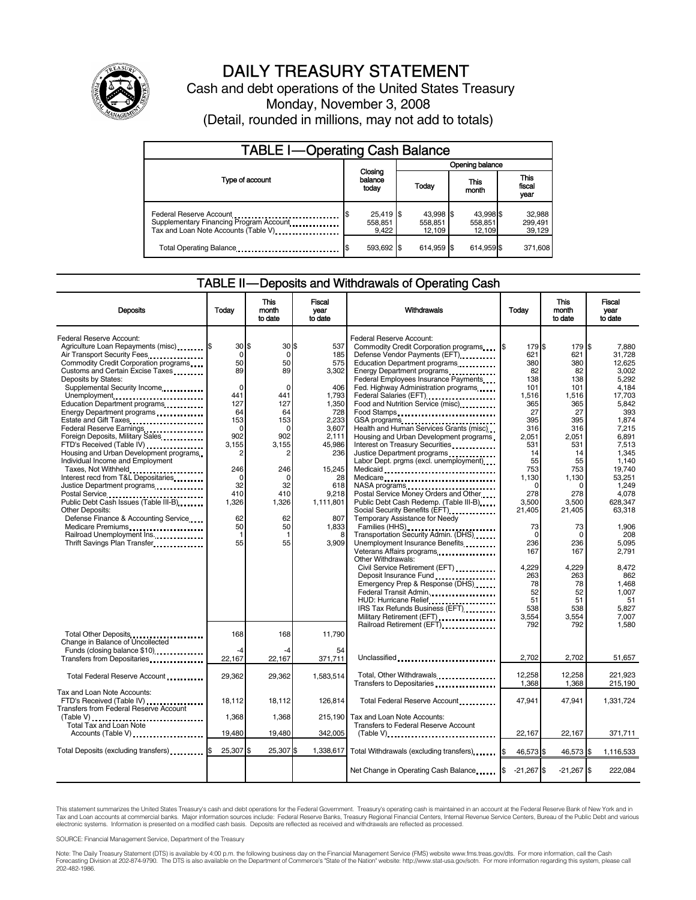

## DAILY TREASURY STATEMENT

Cash and debt operations of the United States Treasury Monday, November 3, 2008 (Detail, rounded in millions, may not add to totals)

| <b>TABLE I-Operating Cash Balance</b>                                                                       |                                 |                                |                                |                               |  |  |
|-------------------------------------------------------------------------------------------------------------|---------------------------------|--------------------------------|--------------------------------|-------------------------------|--|--|
|                                                                                                             | Opening balance                 |                                |                                |                               |  |  |
| Type of account                                                                                             | Closing<br>balance<br>today     | Todav                          | This<br>month                  | <b>This</b><br>fiscal<br>year |  |  |
| Federal Reserve Account<br>Supplementary Financing Program Account<br>Tax and Loan Note Accounts (Table V). | $25,419$ \$<br>558.851<br>9.422 | 43,998 \$<br>558.851<br>12.109 | 43,998 \$<br>558,851<br>12,109 | 32,988<br>299,491<br>39,129   |  |  |
| Total Operating Balance                                                                                     | 593,692 \$                      | 614.959                        | 614,959 \$                     | 371,608                       |  |  |

#### TABLE II — Deposits and Withdrawals of Operating Cash

| <b>Deposits</b>                                                                                                                                                                                            | Todav                                                 | <b>This</b><br>month<br>to date                    | <b>Fiscal</b><br>year<br>to date               | Withdrawals                                                                                                                                                                                                                                                                                                                                                                                                    | Today                                          | <b>This</b><br>month<br>to date                | <b>Fiscal</b><br>vear<br>to date                           |
|------------------------------------------------------------------------------------------------------------------------------------------------------------------------------------------------------------|-------------------------------------------------------|----------------------------------------------------|------------------------------------------------|----------------------------------------------------------------------------------------------------------------------------------------------------------------------------------------------------------------------------------------------------------------------------------------------------------------------------------------------------------------------------------------------------------------|------------------------------------------------|------------------------------------------------|------------------------------------------------------------|
| Federal Reserve Account:<br>Agriculture Loan Repayments (misc) <b>\$</b><br>Air Transport Security Fees<br>Commodity Credit Corporation programs<br>Customs and Certain Excise Taxes                       | 30S<br>$\Omega$<br>50<br>89                           | 30S<br>$\Omega$<br>50<br>89                        | 537<br>185<br>575<br>3,302                     | Federal Reserve Account:<br>Commodity Credit Corporation programs \$<br>Defense Vendor Payments (EFT)<br>Education Department programs                                                                                                                                                                                                                                                                         | 179 \$<br>621<br>380<br>82                     | 179 \$<br>621<br>380<br>82                     | 7.880<br>31.728<br>12.625<br>3.002                         |
| Deposits by States:<br>Supplemental Security Income<br>Unemployment<br>Education Department programs<br>Energy Department programs<br>Federal Reserve Earnings                                             | $\mathbf 0$<br>441<br>127<br>64<br>153<br>$\mathbf 0$ | $\mathbf 0$<br>441<br>127<br>64<br>153<br>$\Omega$ | 406<br>1,793<br>1.350<br>728<br>2,233<br>3,607 | Federal Employees Insurance Payments<br>Fed. Highway Administration programs<br>Federal Salaries (EFT)<br>1991 - Production Contract Contract Contract Contract Contract Contract Contract Contract Contract Contract Contract Contract Contract Contract Contract Contract Contract Contract Contract Contract<br>Food and Nutrition Service (misc)<br>Food Stamps<br>Health and Human Services Grants (misc) | 138<br>101<br>1,516<br>365<br>27<br>395<br>316 | 138<br>101<br>1,516<br>365<br>27<br>395<br>316 | 5.292<br>4.184<br>17.703<br>5.842<br>393<br>1,874<br>7.215 |
| Foreign Deposits, Military Sales.<br>FTD's Received (Table IV)<br>Housing and Urban Development programs<br>Individual Income and Employment<br>Taxes, Not Withheld<br>Interest recd from T&L Depositaries | 902<br>3,155<br>2<br>246<br>$\mathbf 0$               | 902<br>3,155<br>246<br>$\Omega$                    | 2.111<br>45,986<br>236<br>15.245<br>28         | Housing and Urban Development programs<br>Interest on Treasury Securities<br>Justice Department programs<br>Labor Dept. prgms (excl. unemployment)<br>Medicaid                                                                                                                                                                                                                                                 | 2.051<br>531<br>14<br>55<br>753<br>1,130       | 2.051<br>531<br>14<br>55<br>753<br>1,130       | 6.891<br>7,513<br>1,345<br>1.140<br>19.740<br>53,251       |
| Justice Department programs<br>Postal Service<br>Public Debt Cash Issues (Table III-B)<br>Other Deposits:<br>Defense Finance & Accounting Service                                                          | 32<br>410<br>1,326<br>62<br>50                        | 32<br>410<br>1,326<br>62<br>50                     | 618<br>9.218<br>1,111,801<br>807<br>1.833      | Medicare<br>Postal Service Money Orders and Other<br>Public Debt Cash Redemp. (Table III-B)<br>Social Security Benefits (EFT)<br>Temporary Assistance for Needy                                                                                                                                                                                                                                                | $\Omega$<br>278<br>3,500<br>21,405<br>73       | $\mathbf 0$<br>278<br>3,500<br>21,405<br>73    | 1,249<br>4.078<br>628,347<br>63,318<br>1.906               |
| Medicare Premiums<br>Railroad Unemployment Ins.<br>Thrift Savings Plan Transfer                                                                                                                            | $\overline{1}$<br>55                                  | $\mathbf{1}$<br>55                                 | 3,909                                          | Families (HHS)<br>Transportation Security Admin. (DHS)<br>Unemployment Insurance Benefits<br>Veterans Affairs programs<br><br>Other Withdrawals:<br>Civil Service Retirement (EFT)                                                                                                                                                                                                                             | $\Omega$<br>236<br>167<br>4,229                | $\mathbf 0$<br>236<br>167<br>4,229             | 208<br>5,095<br>2.791<br>8,472                             |
|                                                                                                                                                                                                            |                                                       |                                                    |                                                | Deposit Insurance Fund<br>Emergency Prep & Response (DHS)<br>Federal Transit Admin<br>HUD: Hurricane Relief<br>IRS Tax Refunds Business (EFT)<br>Military Retirement (EFT)                                                                                                                                                                                                                                     | 263<br>78<br>52<br>51<br>538<br>3,554          | 263<br>78<br>52<br>51<br>538<br>3,554          | 862<br>1,468<br>1,007<br>51<br>5.827<br>7,007              |
| Total Other Deposits<br>Change in Balance of Uncollected<br>Funds (closing balance \$10)                                                                                                                   | 168<br>-4                                             | 168                                                | 11,790<br>54                                   | Railroad Retirement (EFT)<br>                                                                                                                                                                                                                                                                                                                                                                                  | 792                                            | 792                                            | 1.580                                                      |
| Transfers from Depositaries                                                                                                                                                                                | 22,167                                                | 22,167                                             | 371,711                                        | Unclassified                                                                                                                                                                                                                                                                                                                                                                                                   | 2,702                                          | 2,702                                          | 51,657                                                     |
| Total Federal Reserve Account<br>Tax and Loan Note Accounts:                                                                                                                                               | 29,362                                                | 29,362                                             | 1.583.514                                      | Total, Other Withdrawals<br>Transfers to Depositaries                                                                                                                                                                                                                                                                                                                                                          | 12.258<br>1,368                                | 12.258<br>1,368                                | 221.923<br>215,190                                         |
| FTD's Received (Table IV)<br>Transfers from Federal Reserve Account                                                                                                                                        | 18.112                                                | 18,112                                             | 126,814                                        | Total Federal Reserve Account                                                                                                                                                                                                                                                                                                                                                                                  | 47.941                                         | 47,941                                         | 1,331,724                                                  |
| (Table V)<br>Total Tax and Loan Note<br>Accounts (Table V)                                                                                                                                                 | 1,368<br>19,480                                       | 1,368<br>19,480                                    | 215,190<br>342,005                             | Tax and Loan Note Accounts:<br><b>Transfers to Federal Reserve Account</b><br>$(Table V)$                                                                                                                                                                                                                                                                                                                      | 22,167                                         | 22,167                                         | 371,711                                                    |
| Total Deposits (excluding transfers)                                                                                                                                                                       | 25,307                                                | 25,307                                             | 1,338,617                                      | Total Withdrawals (excluding transfers) [8]                                                                                                                                                                                                                                                                                                                                                                    | 46,573 \$                                      | 46,573 \$                                      | 1,116,533                                                  |
|                                                                                                                                                                                                            |                                                       |                                                    |                                                | Net Change in Operating Cash Balance                                                                                                                                                                                                                                                                                                                                                                           | I\$<br>$-21,267$ \$                            | $-21,267$ \$                                   | 222,084                                                    |

This statement summarizes the United States Treasury's cash and debt operations for the Federal Government. Treasury's operating cash is maintained in an account at the Federal Reserve Bank of New York and in<br>Tax and Loan electronic systems. Information is presented on a modified cash basis. Deposits are reflected as received and withdrawals are reflected as processed.

SOURCE: Financial Management Service, Department of the Treasury

Note: The Daily Treasury Statement (DTS) is available by 4:00 p.m. the following business day on the Financial Management Service (FMS) website www.fms.treas.gov/dts. For more information, call the Cash<br>Forecasting Divisio 202-482-1986.